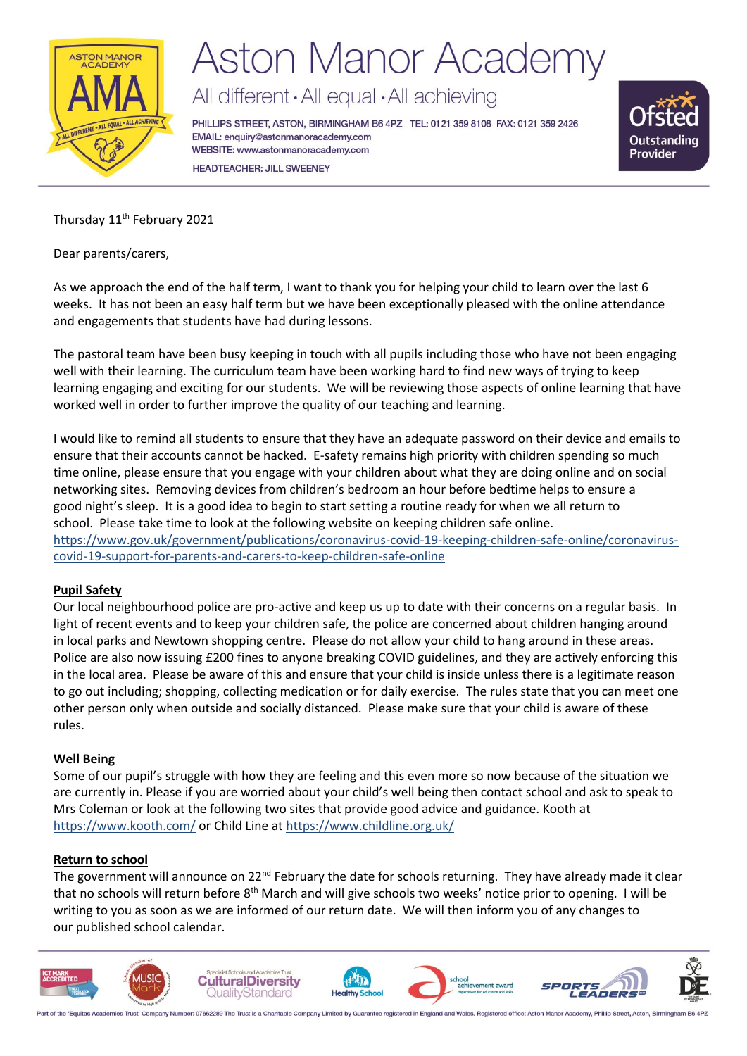

# **Aston Manor Academy**

All different · All equal · All achieving

PHILLIPS STREET, ASTON, BIRMINGHAM B6 4PZ TEL: 0121 359 8108 FAX: 0121 359 2426 EMAIL: enquiry@astonmanoracademy.com WEBSITE: www.astonmanoracademy.com **HEADTEACHER: JILL SWEENEY** 



Thursday 11<sup>th</sup> February 2021

Dear parents/carers,

As we approach the end of the half term, I want to thank you for helping your child to learn over the last 6 weeks. It has not been an easy half term but we have been exceptionally pleased with the online attendance and engagements that students have had during lessons.

The pastoral team have been busy keeping in touch with all pupils including those who have not been engaging well with their learning. The curriculum team have been working hard to find new ways of trying to keep learning engaging and exciting for our students. We will be reviewing those aspects of online learning that have worked well in order to further improve the quality of our teaching and learning.

I would like to remind all students to ensure that they have an adequate password on their device and emails to ensure that their accounts cannot be hacked. E-safety remains high priority with children spending so much time online, please ensure that you engage with your children about what they are doing online and on social networking sites. Removing devices from children's bedroom an hour before bedtime helps to ensure a good night's sleep. It is a good idea to begin to start setting a routine ready for when we all return to school. Please take time to look at the following website on keeping children safe online. https://www.gov.uk/government/publications/coronavirus-covid-19-keeping-children-safe-online/coronaviruscovid-19-support-for-parents-and-carers-to-keep-children-safe-online

## **Pupil Safety**

Our local neighbourhood police are pro-active and keep us up to date with their concerns on a regular basis. In light of recent events and to keep your children safe, the police are concerned about children hanging around in local parks and Newtown shopping centre. Please do not allow your child to hang around in these areas. Police are also now issuing £200 fines to anyone breaking COVID guidelines, and they are actively enforcing this in the local area. Please be aware of this and ensure that your child is inside unless there is a legitimate reason to go out including; shopping, collecting medication or for daily exercise. The rules state that you can meet one other person only when outside and socially distanced. Please make sure that your child is aware of these rules.

#### **Well Being**

Some of our pupil's struggle with how they are feeling and this even more so now because of the situation we are currently in. Please if you are worried about your child's well being then contact school and ask to speak to Mrs Coleman or look at the following two sites that provide good advice and guidance. Kooth at <https://www.kooth.com/> or Child Line at https://www.childline.org.uk/

#### **Return to school**

The government will announce on 22<sup>nd</sup> February the date for schools returning. They have already made it clear that no schools will return before 8<sup>th</sup> March and will give schools two weeks' notice prior to opening. I will be writing to you as soon as we are informed of our return date. We will then inform you of any changes to our published school calendar.